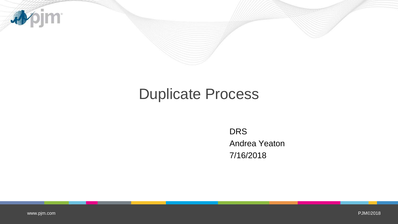

# Duplicate Process

DRS Andrea Yeaton 7/16/2018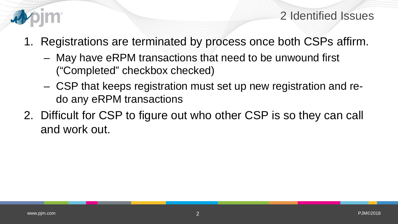

#### 2 Identified Issues

- 1. Registrations are terminated by process once both CSPs affirm.
	- May have eRPM transactions that need to be unwound first ("Completed" checkbox checked)
	- CSP that keeps registration must set up new registration and redo any eRPM transactions
- 2. Difficult for CSP to figure out who other CSP is so they can call and work out.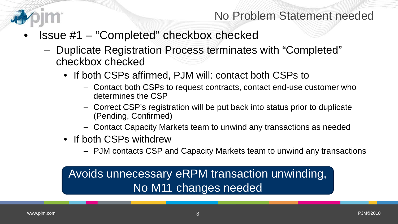

- Issue #1 "Completed" checkbox checked
	- Duplicate Registration Process terminates with "Completed" checkbox checked
		- If both CSPs affirmed, PJM will: contact both CSPs to
			- Contact both CSPs to request contracts, contact end-use customer who determines the CSP
			- Correct CSP's registration will be put back into status prior to duplicate (Pending, Confirmed)
			- Contact Capacity Markets team to unwind any transactions as needed
		- If both CSPs withdrew
			- PJM contacts CSP and Capacity Markets team to unwind any transactions

# Avoids unnecessary eRPM transaction unwinding, No M11 changes needed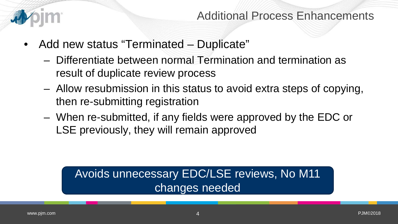

- Add new status "Terminated Duplicate"
	- Differentiate between normal Termination and termination as result of duplicate review process
	- Allow resubmission in this status to avoid extra steps of copying, then re-submitting registration
	- When re-submitted, if any fields were approved by the EDC or LSE previously, they will remain approved

# Avoids unnecessary EDC/LSE reviews, No M11 changes needed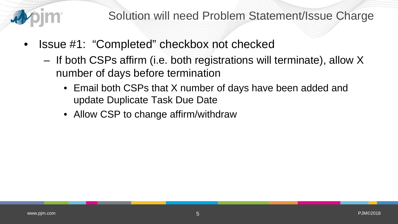

- Issue #1: "Completed" checkbox not checked
	- If both CSPs affirm (i.e. both registrations will terminate), allow X number of days before termination
		- Email both CSPs that X number of days have been added and update Duplicate Task Due Date
		- Allow CSP to change affirm/withdraw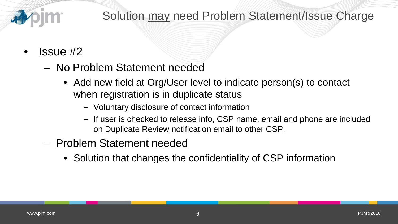# Solution may need Problem Statement/Issue Charge

## • Issue #2

- No Problem Statement needed
	- Add new field at Org/User level to indicate person(s) to contact when registration is in duplicate status
		- Voluntary disclosure of contact information
		- If user is checked to release info, CSP name, email and phone are included on Duplicate Review notification email to other CSP.
- Problem Statement needed
	- Solution that changes the confidentiality of CSP information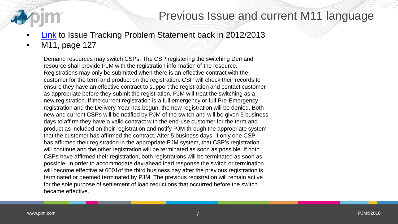### Previous Issue and current M11 language

- [Link](http://pjm.com/committees-and-groups/issue-tracking/issue-tracking-details.aspx?Issue=%7BDEEBDDBC-BCE4-405F-9141-5DD75DBE56CB%7D) to Issue Tracking Problem Statement back in 2012/2013
- M11, page 127

Demand resources may switch CSPs. The CSP registering the switching Demand resource shall provide PJM with the registration information of the resource. Registrations may only be submitted when there is an effective contract with the customer for the term and product on the registration. CSP will check their records to ensure they have an effective contract to support the registration and contact customer as appropriate before they submit the registration. PJM will treat the switching as a new registration. If the current registration is a full emergency or full Pre-Emergency registration and the Delivery Year has begun, the new registration will be denied. Both new and current CSPs will be notified by PJM of the switch and will be given 5 business days to affirm they have a valid contract with the end-use customer for the term and product as included on their registration and notify PJM through the appropriate system that the customer has affirmed the contract. After 5 business days, if only one CSP has affirmed their registration in the appropriate PJM system, that CSP's registration will continue and the other registration will be terminated as soon as possible. If both CSPs have affirmed their registration, both registrations will be terminated as soon as possible. In order to accommodate day-ahead load response the switch or termination will become effective at 0001of the third business day after the previous registration is terminated or deemed terminated by PJM. The previous registration will remain active for the sole purpose of settlement of load reductions that occurred before the switch became effective.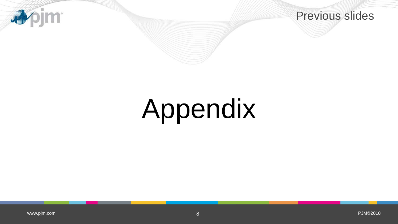



# Appendix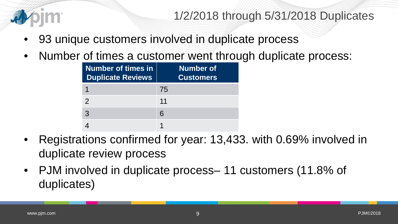

1/2/2018 through 5/31/2018 Duplicates

- 93 unique customers involved in duplicate process
- Number of times a customer went through duplicate process:

| <b>Number of times in</b><br><b>Duplicate Reviews</b> | Number of<br><b>Customers</b> |
|-------------------------------------------------------|-------------------------------|
|                                                       | 75                            |
| $\mathcal{P}$                                         | 11                            |
| 3                                                     | 6                             |
|                                                       |                               |

- Registrations confirmed for year: 13,433. with 0.69% involved in duplicate review process
- PJM involved in duplicate process– 11 customers (11.8% of duplicates)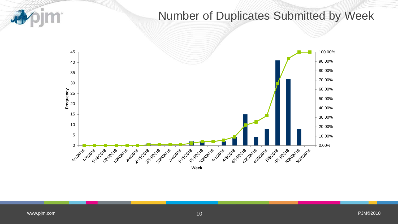

### Number of Duplicates Submitted by Week

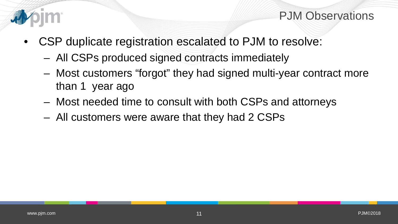

#### PJM Observations

- CSP duplicate registration escalated to PJM to resolve:
	- All CSPs produced signed contracts immediately
	- Most customers "forgot" they had signed multi-year contract more than 1 year ago
	- Most needed time to consult with both CSPs and attorneys
	- All customers were aware that they had 2 CSPs